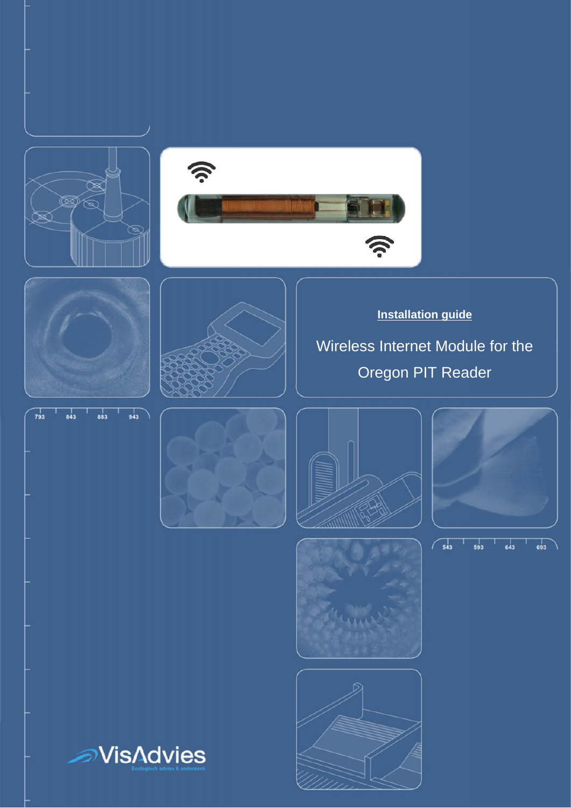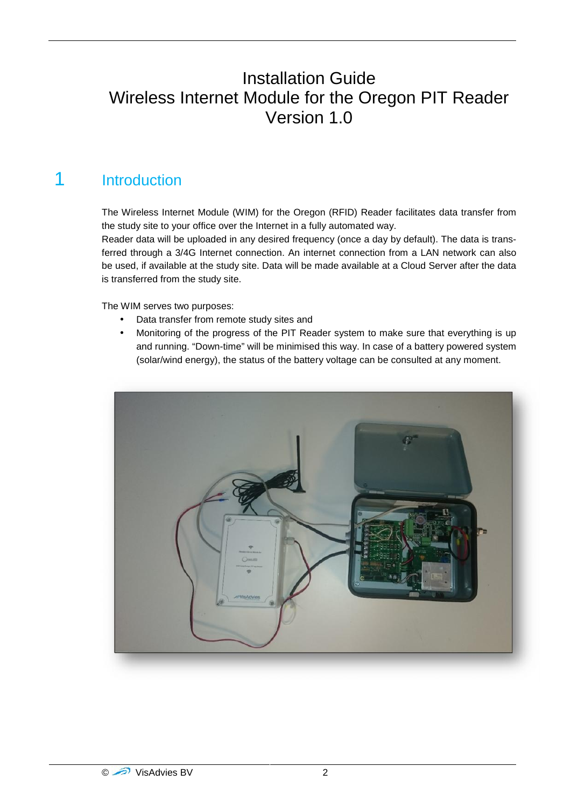### Installation Guide Wireless Internet Module for the Oregon PIT Reader Version 1.0

### 1 Introduction

The Wireless Internet Module (WIM) for the Oregon (RFID) Reader facilitates data transfer from the study site to your office over the Internet in a fully automated way.

Reader data will be uploaded in any desired frequency (once a day by default). The data is transferred through a 3/4G Internet connection. An internet connection from a LAN network can also be used, if available at the study site. Data will be made available at a Cloud Server after the data is transferred from the study site.

The WIM serves two purposes:

- Data transfer from remote study sites and
- Monitoring of the progress of the PIT Reader system to make sure that everything is up and running. "Down-time" will be minimised this way. In case of a battery powered system (solar/wind energy), the status of the battery voltage can be consulted at any moment.

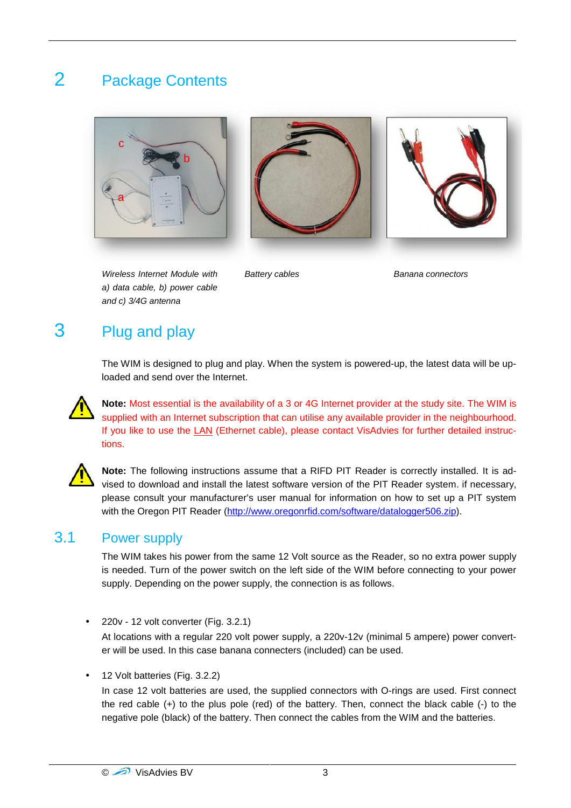# 2 Package Contents







*Wireless Internet Module with a) data cable, b) power cable and c) 3/4G antenna*

**Banana connectors** 

### 3 Plug and play

The WIM is designed to plug and play. When the system is powered-up, the latest data will be uploaded and send over the Internet.

**Note:** Most essential is the availability of a 3 or 4G Internet provider at the study site. The WIM is supplied with an Internet subscription that can utilise any available provider in the neighbourhood. If you like to use the LAN (Ethernet cable), please contact VisAdvies for further detailed instructions.



**Note:** The following instructions assume that a RIFD PIT Reader is correctly installed. It is advised to download and install the latest software version of the PIT Reader system. if necessary, please consult your manufacturer's user manual for information on how to set up a PIT system with the Oregon PIT Reader (http://www.oregonrfid.com/software/datalogger506.zip).

### 3.1 Power supply

The WIM takes his power from the same 12 Volt source as the Reader, so no extra power supply is needed. Turn of the power switch on the left side of the WIM before connecting to your power supply. Depending on the power supply, the connection is as follows.

220v - 12 volt converter (Fig. 3.2.1)

At locations with a regular 220 volt power supply, a 220v-12v (minimal 5 ampere) power converter will be used. In this case banana connecters (included) can be used.

12 Volt batteries (Fig. 3.2.2)

In case 12 volt batteries are used, the supplied connectors with O-rings are used. First connect the red cable (+) to the plus pole (red) of the battery. Then, connect the black cable (-) to the negative pole (black) of the battery. Then connect the cables from the WIM and the batteries.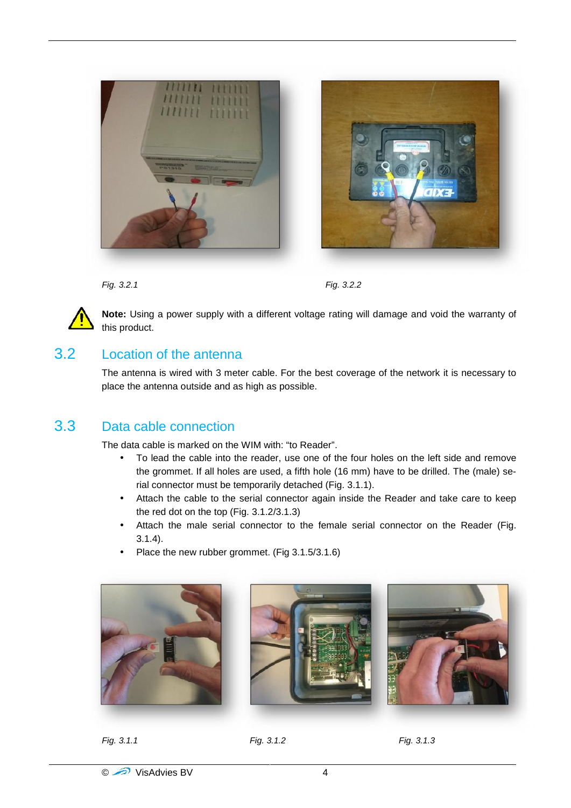



*Fig. 3.2.1 Fig. 3.2.2*



**Note:** Using a power supply with a different voltage rating will damage and void the warranty of this product.

### 3.2 Location of the antenna

The antenna is wired with 3 meter cable. For the best coverage of the network it is necessary to place the antenna outside and as high as possible.

### 3.3 Data cable connection

The data cable is marked on the WIM with: "to Reader".

- To lead the cable into the reader, use one of the four holes on the left side and remove the grommet. If all holes are used, a fifth hole (16 mm) have to be drilled. The (male) serial connector must be temporarily detached (Fig. 3.1.1).
- Attach the cable to the serial connector again inside the Reader and take care to keep the red dot on the top (Fig. 3.1.2/3.1.3)
- Attach the male serial connector to the female serial connector on the Reader (Fig. 3.1.4).
- Place the new rubber grommet. (Fig 3.1.5/3.1.6)



*Fig. 3.1.1 Fig. 3.1.2 Fig. 3.1.3*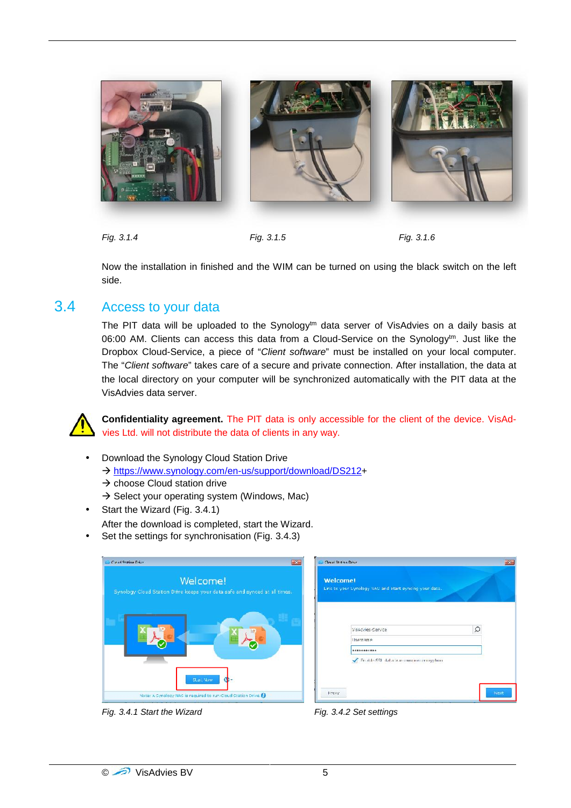

*Fig. 3.1.4 Fig. 3.1.5 Fig. 3.1.6*

Now the installation in finished and the WIM can be turned on using the black switch on the left side.

#### 3.4 Access to your data

The PIT data will be uploaded to the Synology $t<sup>tm</sup>$  data server of VisAdvies on a daily basis at 06:00 AM. Clients can access this data from a Cloud-Service on the Synology<sup>tm</sup>. Just like the Dropbox Cloud-Service, a piece of "*Client software*" must be installed on your local computer. The "*Client software*" takes care of a secure and private connection. After installation, the data at the local directory on your computer will be synchronized automatically with the PIT data at the VisAdvies data server.



**Confidentiality agreement.** The PIT data is only accessible for the client of the device. VisAdvies Ltd. will not distribute the data of clients in any way.

- Download the Synology Cloud Station Drive
	- → https://www.synology.com/en-us/support/download/DS212+
	- $\rightarrow$  choose Cloud station drive
	- $\rightarrow$  Select your operating system (Windows, Mac)
- Start the Wizard (Fig. 3.4.1)

After the download is completed, start the Wizard.

Set the settings for synchronisation (Fig. 3.4.3)

| Cloud Station Drive                                                                    |
|----------------------------------------------------------------------------------------|
| Welcome!<br>Synology Cloud Station Drive keeps your data safe and synced at all times. |
|                                                                                        |
| <b>Start Now</b>                                                                       |
| Note: A Synology NAS is required to run Cloud Station Drive.                           |

Welcomet Link to your Eynology NAS and start's  $\alpha$ Visadvies-Service Usemame .......... Frankle SSL data transmission entryphone **Proxy** 

*Fig. 3.4.1 Start the Wizard Fig. 3.4.2 Set settings*

**Cloud Station Drive**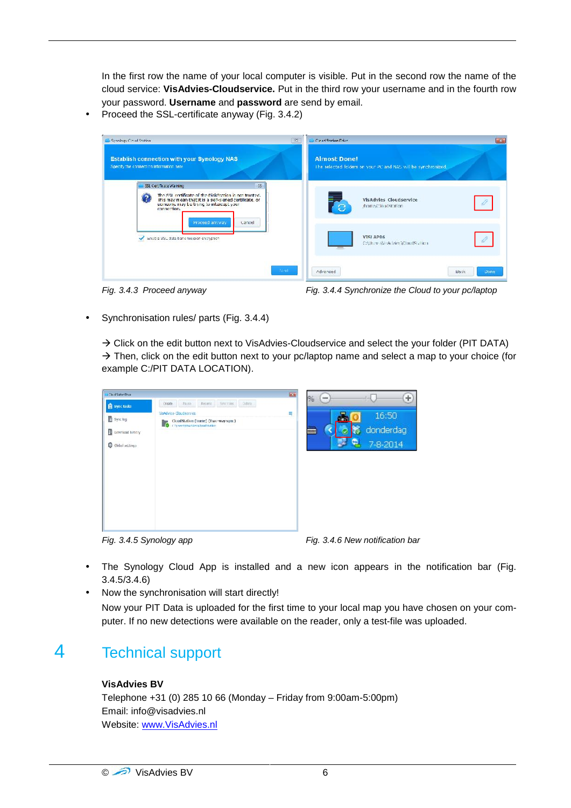In the first row the name of your local computer is visible. Put in the second row the name of the cloud service: **VisAdvies-Cloudservice.** Put in the third row your username and in the fourth row your password. **Username** and **password** are send by email.

Proceed the SSL-certificate anyway (Fig. 3.4.2)

| Establish connection with your Synology NAS<br>Specify the connection information here.                                                                                                                               |        | <b>Almost Done!</b><br>The selected folders on your PC and NAS will be synchronized. |   |
|-----------------------------------------------------------------------------------------------------------------------------------------------------------------------------------------------------------------------|--------|--------------------------------------------------------------------------------------|---|
| SSL Certificate Warning<br>The SSL certificate of the DiskStation is not trusted.<br>$\mathbf{r}$<br>This may mean that it is a self-signed certificate, or<br>someone may be trying to intercept your<br>connection. | 33     | VisAdvies Cloudservice<br>/home/CloudStation                                         |   |
| Proceed anyway<br>Enable 33L data transmission encryption                                                                                                                                                             | Cancel | VISLAP06<br>C:\Uner:\WeAdvice\ClaudStation                                           | 0 |

*Fig. 3.4.3 Proceed anyway Fig. 3.4.4 Synchronize the Cloud to your pc/laptop*

Synchronisation rules/ parts (Fig. 3.4.4)

 $\rightarrow$  Click on the edit button next to VisAdvies-Cloudservice and select the your folder (PIT DATA)  $\rightarrow$  Then, click on the edit button next to your pc/laptop name and select a map to your choice (for example C:/PIT DATA LOCATION).

| Clear System Brice                                                 |                                                                                                                     | 麻油 | 196<br><b>COM</b> | LЦ                                                            | ÷, |
|--------------------------------------------------------------------|---------------------------------------------------------------------------------------------------------------------|----|-------------------|---------------------------------------------------------------|----|
| Sync tasks                                                         | Resume Syncroles<br>Dalter.<br><b>Dairie</b><br>Craste                                                              |    |                   |                                                               |    |
| Sync log                                                           | VisAdvice-Cloudservice                                                                                              | 巪  | m                 | 16:50                                                         |    |
|                                                                    | CloudStation (home) (Two way sync)<br><b>Cloud Station (nome)</b> (Two<br><b>C</b> chromodophism is the internation |    | <b>Mong</b>       |                                                               |    |
| C cowrigad history                                                 |                                                                                                                     |    | <b>HIIII</b>      | donderdag                                                     |    |
| Globel settings                                                    |                                                                                                                     |    |                   | ш,<br>7-8-2014                                                |    |
|                                                                    |                                                                                                                     |    |                   |                                                               |    |
| $\Gamma$ in $\Omega$ $\Lambda$ $\Gamma$ $\Omega$ in also is a sign |                                                                                                                     |    |                   | $\Gamma$ ia $\Omega$ $\Lambda$ $\Omega$ Maurea illiantique ha |    |

*Fig. 3.4.5 Synology app Fig. 3.4.6 New notification bar*

- The Synology Cloud App is installed and a new icon appears in the notification bar (Fig. 3.4.5/3.4.6)
- Now the synchronisation will start directly! Now your PIT Data is uploaded for the first time to your local map you have chosen on your computer. If no new detections were available on the reader, only a test-file was uploaded.

### 4 Technical support

#### **VisAdvies BV**

Telephone +31 (0) 285 10 66 (Monday – Friday from 9:00am-5:00pm) Email: info@visadvies.nl Website: www.VisAdvies.nl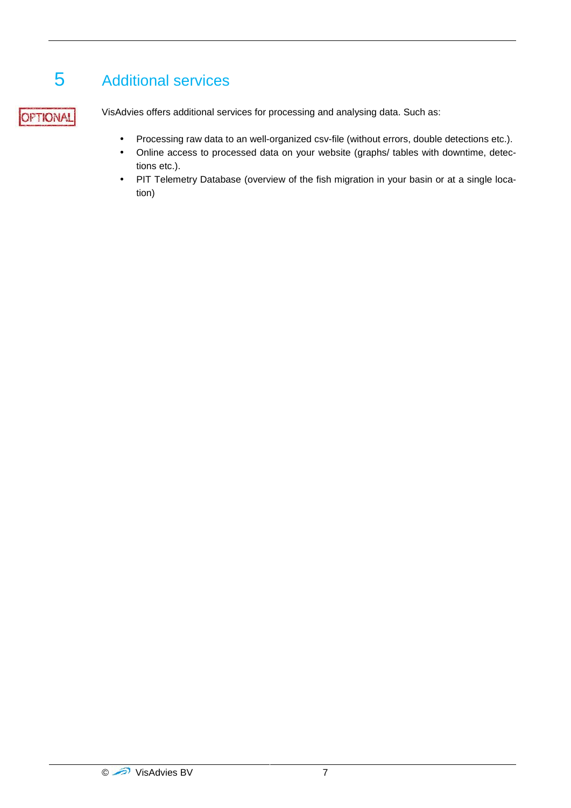# 5 Additional services

OPTIONAL

VisAdvies offers additional services for processing and analysing data. Such as:

- Processing raw data to an well-organized csv-file (without errors, double detections etc.).
- Online access to processed data on your website (graphs/ tables with downtime, detections etc.).
- PIT Telemetry Database (overview of the fish migration in your basin or at a single location)